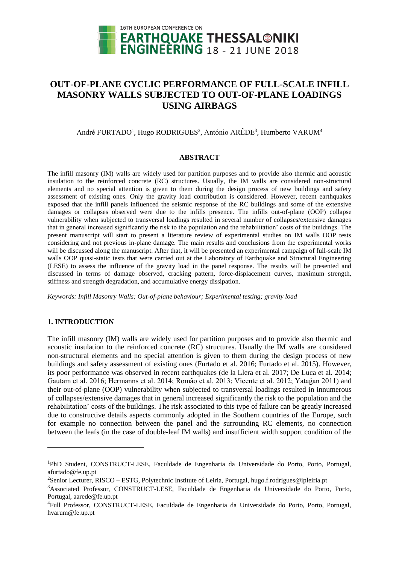

# **OUT-OF-PLANE CYCLIC PERFORMANCE OF FULL-SCALE INFILL MASONRY WALLS SUBJECTED TO OUT-OF-PLANE LOADINGS USING AIRBAGS**

# André FURTADO<sup>1</sup>, Hugo RODRIGUES<sup>2</sup>, António ARÊDE<sup>3</sup>, Humberto VARUM<sup>4</sup>

#### **ABSTRACT**

The infill masonry (IM) walls are widely used for partition purposes and to provide also thermic and acoustic insulation to the reinforced concrete (RC) structures. Usually, the IM walls are considered non-structural elements and no special attention is given to them during the design process of new buildings and safety assessment of existing ones. Only the gravity load contribution is considered. However, recent earthquakes exposed that the infill panels influenced the seismic response of the RC buildings and some of the extensive damages or collapses observed were due to the infills presence. The infills out-of-plane (OOP) collapse vulnerability when subjected to transversal loadings resulted in several number of collapses/extensive damages that in general increased significantly the risk to the population and the rehabilitation' costs of the buildings. The present manuscript will start to present a literature review of experimental studies on IM walls OOP tests considering and not previous in-plane damage. The main results and conclusions from the experimental works will be discussed along the manuscript. After that, it will be presented an experimental campaign of full-scale IM walls OOP quasi-static tests that were carried out at the Laboratory of Earthquake and Structural Engineering (LESE) to assess the influence of the gravity load in the panel response. The results will be presented and discussed in terms of damage observed, cracking pattern, force-displacement curves, maximum strength, stiffness and strength degradation, and accumulative energy dissipation.

*Keywords: Infill Masonry Walls; Out-of-plane behaviour; Experimental testing; gravity load*

## **1. INTRODUCTION**

l

The infill masonry (IM) walls are widely used for partition purposes and to provide also thermic and acoustic insulation to the reinforced concrete (RC) structures. Usually the IM walls are considered non-structural elements and no special attention is given to them during the design process of new buildings and safety assessment of existing ones (Furtado et al. 2016; Furtado et al. 2015). However, its poor performance was observed in recent earthquakes (de la Llera et al. 2017; De Luca et al. 2014; Gautam et al. 2016; Hermanns et al. 2014; Romão et al. 2013; Vicente et al. 2012; Yatağan 2011) and their out-of-plane (OOP) vulnerability when subjected to transversal loadings resulted in innumerous of collapses/extensive damages that in general increased significantly the risk to the population and the rehabilitation' costs of the buildings. The risk associated to this type of failure can be greatly increased due to constructive details aspects commonly adopted in the Southern countries of the Europe, such for example no connection between the panel and the surrounding RC elements, no connection between the leafs (in the case of double-leaf IM walls) and insufficient width support condition of the

<sup>1</sup>PhD Student, CONSTRUCT-LESE, Faculdade de Engenharia da Universidade do Porto, Porto, Portugal, afurtado@fe.up.pt

<sup>&</sup>lt;sup>2</sup>Senior Lecturer, RISCO – ESTG, Polytechnic Institute of Leiria, Portugal, hugo.f.rodrigues@ipleiria.pt

<sup>3</sup>Associated Professor, CONSTRUCT-LESE, Faculdade de Engenharia da Universidade do Porto, Porto, Portugal, aarede@fe.up.pt

<sup>4</sup>Full Professor, CONSTRUCT-LESE, Faculdade de Engenharia da Universidade do Porto, Porto, Portugal, hvarum@fe.up.pt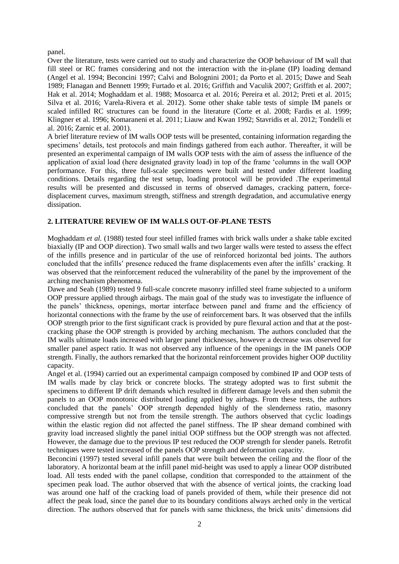panel.

Over the literature, tests were carried out to study and characterize the OOP behaviour of IM wall that fill steel or RC frames considering and not the interaction with the in-plane (IP) loading demand (Angel et al. 1994; Beconcini 1997; Calvi and Bolognini 2001; da Porto et al. 2015; Dawe and Seah 1989; Flanagan and Bennett 1999; Furtado et al. 2016; Griffith and Vaculik 2007; Griffith et al. 2007; Hak et al. 2014; Moghaddam et al. 1988; Mosoarca et al. 2016; Pereira et al. 2012; Preti et al. 2015; Silva et al. 2016; Varela-Rivera et al. 2012). Some other shake table tests of simple IM panels or scaled infilled RC structures can be found in the literature (Corte et al. 2008; Fardis et al. 1999; Klingner et al. 1996; Komaraneni et al. 2011; Liauw and Kwan 1992; Stavridis et al. 2012; Tondelli et al. 2016; Zarnic et al. 2001).

A brief literature review of IM walls OOP tests will be presented, containing information regarding the specimens' details, test protocols and main findings gathered from each author. Thereafter, it will be presented an experimental campaign of IM walls OOP tests with the aim of assess the influence of the application of axial load (here designated gravity load) in top of the frame 'columns in the wall OOP performance. For this, three full-scale specimens were built and tested under different loading conditions. Details regarding the test setup, loading protocol will be provided .The experimental results will be presented and discussed in terms of observed damages, cracking pattern, forcedisplacement curves, maximum strength, stiffness and strength degradation, and accumulative energy dissipation.

## **2. LITERATURE REVIEW OF IM WALLS OUT-OF-PLANE TESTS**

Moghaddam *et al.* (1988) tested four steel infilled frames with brick walls under a shake table excited biaxially (IP and OOP direction). Two small walls and two larger walls were tested to assess the effect of the infills presence and in particular of the use of reinforced horizontal bed joints. The authors concluded that the infills' presence reduced the frame displacements even after the infills' cracking. It was observed that the reinforcement reduced the vulnerability of the panel by the improvement of the arching mechanism phenomena.

Dawe and Seah (1989) tested 9 full-scale concrete masonry infilled steel frame subjected to a uniform OOP pressure applied through airbags. The main goal of the study was to investigate the influence of the panels' thickness, openings, mortar interface between panel and frame and the efficiency of horizontal connections with the frame by the use of reinforcement bars. It was observed that the infills OOP strength prior to the first significant crack is provided by pure flexural action and that at the postcracking phase the OOP strength is provided by arching mechanism. The authors concluded that the IM walls ultimate loads increased with larger panel thicknesses, however a decrease was observed for smaller panel aspect ratio. It was not observed any influence of the openings in the IM panels OOP strength. Finally, the authors remarked that the horizontal reinforcement provides higher OOP ductility capacity.

Angel et al. (1994) carried out an experimental campaign composed by combined IP and OOP tests of IM walls made by clay brick or concrete blocks. The strategy adopted was to first submit the specimens to different IP drift demands which resulted in different damage levels and then submit the panels to an OOP monotonic distributed loading applied by airbags. From these tests, the authors concluded that the panels' OOP strength depended highly of the slenderness ratio, masonry compressive strength but not from the tensile strength. The authors observed that cyclic loadings within the elastic region did not affected the panel stiffness. The IP shear demand combined with gravity load increased slightly the panel initial OOP stiffness but the OOP strength was not affected. However, the damage due to the previous IP test reduced the OOP strength for slender panels. Retrofit techniques were tested increased of the panels OOP strength and deformation capacity.

Beconcini (1997) tested several infill panels that were built between the ceiling and the floor of the laboratory. A horizontal beam at the infill panel mid-height was used to apply a linear OOP distributed load. All tests ended with the panel collapse, condition that corresponded to the attainment of the specimen peak load. The author observed that with the absence of vertical joints, the cracking load was around one half of the cracking load of panels provided of them, while their presence did not affect the peak load, since the panel due to its boundary conditions always arched only in the vertical direction. The authors observed that for panels with same thickness, the brick units' dimensions did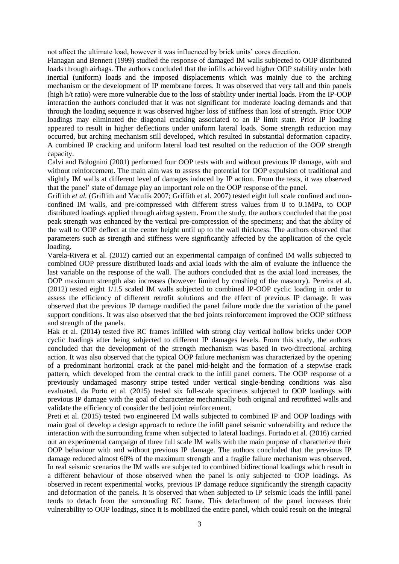not affect the ultimate load, however it was influenced by brick units' cores direction.

Flanagan and Bennett (1999) studied the response of damaged IM walls subjected to OOP distributed loads through airbags. The authors concluded that the infills achieved higher OOP stability under both inertial (uniform) loads and the imposed displacements which was mainly due to the arching mechanism or the development of IP membrane forces. It was observed that very tall and thin panels (high h/t ratio) were more vulnerable due to the loss of stability under inertial loads. From the IP-OOP interaction the authors concluded that it was not significant for moderate loading demands and that through the loading sequence it was observed higher loss of stiffness than loss of strength. Prior OOP loadings may eliminated the diagonal cracking associated to an IP limit state. Prior IP loading appeared to result in higher deflections under uniform lateral loads. Some strength reduction may occurred, but arching mechanism still developed, which resulted in substantial deformation capacity. A combined IP cracking and uniform lateral load test resulted on the reduction of the OOP strength capacity.

Calvi and Bolognini (2001) performed four OOP tests with and without previous IP damage, with and without reinforcement. The main aim was to assess the potential for OOP expulsion of traditional and slightly IM walls at different level of damages induced by IP action. From the tests, it was observed that the panel' state of damage play an important role on the OOP response of the panel.

Griffith *et al.* (Griffith and Vaculik 2007; Griffith et al. 2007) tested eight full scale confined and nonconfined IM walls, and pre-compressed with different stress values from 0 to 0.1MPa, to OOP distributed loadings applied through airbag system. From the study, the authors concluded that the post peak strength was enhanced by the vertical pre-compression of the specimens; and that the ability of the wall to OOP deflect at the center height until up to the wall thickness. The authors observed that parameters such as strength and stiffness were significantly affected by the application of the cycle loading.

Varela-Rivera et al. (2012) carried out an experimental campaign of confined IM walls subjected to combined OOP pressure distributed loads and axial loads with the aim of evaluate the influence the last variable on the response of the wall. The authors concluded that as the axial load increases, the OOP maximum strength also increases (however limited by crushing of the masonry). Pereira et al. (2012) tested eight 1/1.5 scaled IM walls subjected to combined IP-OOP cyclic loading in order to assess the efficiency of different retrofit solutions and the effect of previous IP damage. It was observed that the previous IP damage modified the panel failure mode due the variation of the panel support conditions. It was also observed that the bed joints reinforcement improved the OOP stiffness and strength of the panels.

Hak et al. (2014) tested five RC frames infilled with strong clay vertical hollow bricks under OOP cyclic loadings after being subjected to different IP damages levels. From this study, the authors concluded that the development of the strength mechanism was based in two-directional arching action. It was also observed that the typical OOP failure mechanism was characterized by the opening of a predominant horizontal crack at the panel mid-height and the formation of a stepwise crack pattern, which developed from the central crack to the infill panel corners. The OOP response of a previously undamaged masonry stripe tested under vertical single-bending conditions was also evaluated. da Porto et al. (2015) tested six full-scale specimens subjected to OOP loadings with previous IP damage with the goal of characterize mechanically both original and retrofitted walls and validate the efficiency of consider the bed joint reinforcement.

Preti et al. (2015) tested two engineered IM walls subjected to combined IP and OOP loadings with main goal of develop a design approach to reduce the infill panel seismic vulnerability and reduce the interaction with the surrounding frame when subjected to lateral loadings. Furtado et al. (2016) carried out an experimental campaign of three full scale IM walls with the main purpose of characterize their OOP behaviour with and without previous IP damage. The authors concluded that the previous IP damage reduced almost 60% of the maximum strength and a fragile failure mechanism was observed. In real seismic scenarios the IM walls are subjected to combined bidirectional loadings which result in a different behaviour of those observed when the panel is only subjected to OOP loadings. As observed in recent experimental works, previous IP damage reduce significantly the strength capacity and deformation of the panels. It is observed that when subjected to IP seismic loads the infill panel tends to detach from the surrounding RC frame. This detachment of the panel increases their vulnerability to OOP loadings, since it is mobilized the entire panel, which could result on the integral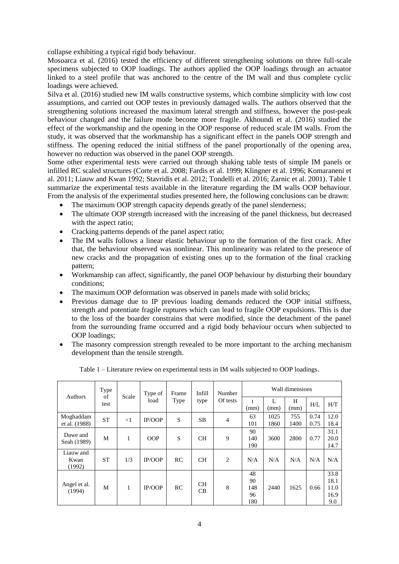collapse exhibiting a typical rigid body behaviour.

Mosoarca et al. (2016) tested the efficiency of different strengthening solutions on three full-scale specimens subjected to OOP loadings. The authors applied the OOP loadings through an actuator linked to a steel profile that was anchored to the centre of the IM wall and thus complete cyclic loadings were achieved.

Silva et al. (2016) studied new IM walls constructive systems, which combine simplicity with low cost assumptions, and carried out OOP testes in previously damaged walls. The authors observed that the strengthening solutions increased the maximum lateral strength and stiffness, however the post-peak behaviour changed and the failure mode become more fragile. Akhoundi et al. (2016) studied the effect of the workmanship and the opening in the OOP response of reduced scale IM walls. From the study, it was observed that the workmanship has a significant effect in the panels OOP strength and stiffness. The opening reduced the initial stiffness of the panel proportionally of the opening area, however no reduction was observed in the panel OOP strength.

Some other experimental tests were carried out through shaking table tests of simple IM panels or infilled RC scaled structures (Corte et al. 2008; Fardis et al. 1999; Klingner et al. 1996; Komaraneni et al. 2011; Liauw and Kwan 1992; Stavridis et al. 2012; Tondelli et al. 2016; Zarnic et al. 2001). [Table 1](#page-3-0) summarize the experimental tests available in the literature regarding the IM walls OOP behaviour. From the analysis of the experimental studies presented here, the following conclusions can be drawn:

- The maximum OOP strength capacity depends greatly of the panel slenderness;
- The ultimate OOP strength increased with the increasing of the panel thickness, but decreased with the aspect ratio;
- Cracking patterns depends of the panel aspect ratio;
- The IM walls follows a linear elastic behaviour up to the formation of the first crack. After that, the behaviour observed was nonlinear. This nonlinearity was related to the presence of new cracks and the propagation of existing ones up to the formation of the final cracking pattern;
- Workmanship can affect, significantly, the panel OOP behaviour by disturbing their boundary conditions;
- The maximum OOP deformation was observed in panels made with solid bricks;
- Previous damage due to IP previous loading demands reduced the OOP initial stiffness, strength and potentiate fragile ruptures which can lead to fragile OOP expulsions. This is due to the loss of the boarder constrains that were modified, since the detachment of the panel from the surrounding frame occurred and a rigid body behaviour occurs when subjected to OOP loadings;
- The masonry compression strength revealed to be more important to the arching mechanism development than the tensile strength.

<span id="page-3-0"></span>

| Authors                     | Type<br>of<br>test | Scale    | Type of<br>load | Frame<br>Type | Infill<br>type  | Number<br>Of tests | Wall dimensions              |              |             |              |                                     |
|-----------------------------|--------------------|----------|-----------------|---------------|-----------------|--------------------|------------------------------|--------------|-------------|--------------|-------------------------------------|
|                             |                    |          |                 |               |                 |                    | (mm)                         | L<br>(mm)    | H<br>(mm)   | H/L          | H/T                                 |
| Moghaddam<br>et al. (1988)  | <b>ST</b>          | $\leq$ 1 | <b>IP/OOP</b>   | S             | <b>SB</b>       | $\overline{4}$     | 63<br>101                    | 1025<br>1860 | 755<br>1400 | 0.74<br>0.75 | 12.0<br>18.4                        |
| Dawe and<br>Seah (1989)     | М                  | 1        | <b>OOP</b>      | S             | <b>CH</b>       | 9                  | 90<br>140<br>190             | 3600         | 2800        | 0.77         | 31.1<br>20.0<br>14.7                |
| Liauw and<br>Kwan<br>(1992) | <b>ST</b>          | 1/3      | <b>IP/OOP</b>   | RC            | <b>CH</b>       | 2                  | N/A                          | N/A          | N/A         | N/A          | N/A                                 |
| Angel et al.<br>(1994)      | М                  | 1        | IP/OOP          | RC            | <b>CH</b><br>CB | 8                  | 48<br>90<br>148<br>96<br>180 | 2440         | 1625        | 0.66         | 33.8<br>18.1<br>11.0<br>16.9<br>9.0 |

Table 1 – Literature review on experimental tests in IM walls subjected to OOP loadings.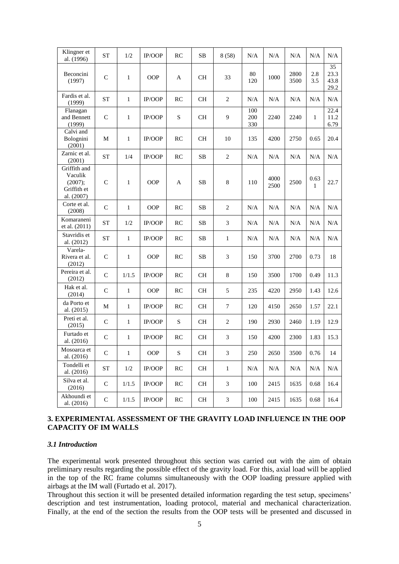| Klingner et<br>al. (1996)                                       | <b>ST</b>    | 1/2          | IP/OOP     | RC        | <b>SB</b> | 8(58)          | N/A               | N/A          | N/A          | N/A          | N/A                        |
|-----------------------------------------------------------------|--------------|--------------|------------|-----------|-----------|----------------|-------------------|--------------|--------------|--------------|----------------------------|
| Beconcini<br>(1997)                                             | $\mathsf{C}$ | $\mathbf{1}$ | <b>OOP</b> | A         | $\rm CH$  | 33             | 80<br>120         | 1000         | 2800<br>3500 | 2.8<br>3.5   | 35<br>23.3<br>43.8<br>29.2 |
| Fardis et al.<br>(1999)                                         | <b>ST</b>    | $\mathbf{1}$ | IP/OOP     | RC        | CH        | 2              | N/A               | N/A          | N/A          | N/A          | $\rm N/A$                  |
| Flanagan<br>and Bennett<br>(1999)                               | $\mathsf{C}$ | $\mathbf{1}$ | IP/OOP     | ${\bf S}$ | CH        | 9              | 100<br>200<br>330 | 2240         | 2240         | $\mathbf{1}$ | 22.4<br>11.2<br>6.79       |
| Calvi and<br>Bolognini<br>(2001)                                | M            | $\mathbf{1}$ | IP/OOP     | RC        | <b>CH</b> | 10             | 135               | 4200         | 2750         | 0.65         | 20.4                       |
| Zarnic et al.<br>(2001)                                         | <b>ST</b>    | 1/4          | IP/OOP     | RC        | SB        | $\overline{c}$ | N/A               | N/A          | N/A          | N/A          | N/A                        |
| Griffith and<br>Vaculik<br>(2007);<br>Griffith et<br>al. (2007) | $\mathsf{C}$ | 1            | <b>OOP</b> | A         | <b>SB</b> | $\,8\,$        | 110               | 4000<br>2500 | 2500         | 0.63<br>1    | 22.7                       |
| Corte et al.<br>(2008)                                          | C            | $\mathbf{1}$ | <b>OOP</b> | RC        | <b>SB</b> | $\overline{2}$ | N/A               | N/A          | N/A          | N/A          | N/A                        |
| Komaraneni<br>et al. (2011)                                     | <b>ST</b>    | 1/2          | IP/OOP     | RC        | SB        | $\mathfrak{Z}$ | N/A               | N/A          | N/A          | N/A          | N/A                        |
| Stavridis et<br>al. (2012)                                      | <b>ST</b>    | $\mathbf{1}$ | IP/OOP     | RC        | <b>SB</b> | $\mathbf{1}$   | N/A               | N/A          | N/A          | N/A          | N/A                        |
| Varela-<br>Rivera et al.<br>(2012)                              | $\mathsf{C}$ | $\mathbf{1}$ | <b>OOP</b> | RC        | SB        | 3              | 150               | 3700         | 2700         | 0.73         | 18                         |
| Pereira et al.<br>(2012)                                        | $\mathsf{C}$ | 1/1.5        | IP/OOP     | RC        | <b>CH</b> | $\,8\,$        | 150               | 3500         | 1700         | 0.49         | 11.3                       |
| Hak et al.<br>(2014)                                            | $\mathsf{C}$ | $\mathbf{1}$ | <b>OOP</b> | RC        | <b>CH</b> | 5              | 235               | 4220         | 2950         | 1.43         | 12.6                       |
| da Porto et<br>al. (2015)                                       | M            | $\mathbf{1}$ | IP/OOP     | RC        | CH        | 7              | 120               | 4150         | 2650         | 1.57         | 22.1                       |
| Preti et al.<br>(2015)                                          | $\mathsf{C}$ | $\mathbf{1}$ | IP/OOP     | S         | <b>CH</b> | 2              | 190               | 2930         | 2460         | 1.19         | 12.9                       |
| Furtado et<br>al. (2016)                                        | $\mathsf{C}$ | $\mathbf{1}$ | IP/OOP     | RC        | CH        | 3              | 150               | 4200         | 2300         | 1.83         | 15.3                       |
| Mosoarca et<br>al. (2016)                                       | $\mathbf C$  | $\mathbf{1}$ | <b>OOP</b> | ${\bf S}$ | $\rm CH$  | 3              | 250               | 2650         | 3500         | 0.76         | 14                         |
| Tondelli et<br>al. (2016)                                       | <b>ST</b>    | 1/2          | IP/OOP     | RC        | CH        | $\mathbf{1}$   | N/A               | N/A          | N/A          | N/A          | N/A                        |
| Silva et al.<br>(2016)                                          | $\mathsf{C}$ | 1/1.5        | IP/OOP     | RC        | CH        | 3              | 100               | 2415         | 1635         | 0.68         | 16.4                       |
| Akhoundi et<br>al. (2016)                                       | $\mathsf{C}$ | 1/1.5        | IP/OOP     | RC        | <b>CH</b> | $\mathfrak{Z}$ | 100               | 2415         | 1635         | 0.68         | 16.4                       |

## **3. EXPERIMENTAL ASSESSMENT OF THE GRAVITY LOAD INFLUENCE IN THE OOP CAPACITY OF IM WALLS**

#### *3.1 Introduction*

The experimental work presented throughout this section was carried out with the aim of obtain preliminary results regarding the possible effect of the gravity load. For this, axial load will be applied in the top of the RC frame columns simultaneously with the OOP loading pressure applied with airbags at the IM wall (Furtado et al. 2017).

Throughout this section it will be presented detailed information regarding the test setup, specimens' description and test instrumentation, loading protocol, material and mechanical characterization. Finally, at the end of the section the results from the OOP tests will be presented and discussed in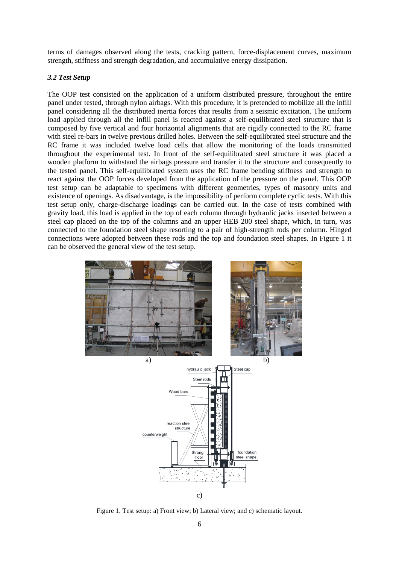terms of damages observed along the tests, cracking pattern, force-displacement curves, maximum strength, stiffness and strength degradation, and accumulative energy dissipation.

## *3.2 Test Setup*

The OOP test consisted on the application of a uniform distributed pressure, throughout the entire panel under tested, through nylon airbags. With this procedure, it is pretended to mobilize all the infill panel considering all the distributed inertia forces that results from a seismic excitation. The uniform load applied through all the infill panel is reacted against a self-equilibrated steel structure that is composed by five vertical and four horizontal alignments that are rigidly connected to the RC frame with steel re-bars in twelve previous drilled holes. Between the self-equilibrated steel structure and the RC frame it was included twelve load cells that allow the monitoring of the loads transmitted throughout the experimental test. In front of the self-equilibrated steel structure it was placed a wooden platform to withstand the airbags pressure and transfer it to the structure and consequently to the tested panel. This self-equilibrated system uses the RC frame bending stiffness and strength to react against the OOP forces developed from the application of the pressure on the panel. This OOP test setup can be adaptable to specimens with different geometries, types of masonry units and existence of openings. As disadvantage, is the impossibility of perform complete cyclic tests. With this test setup only, charge-discharge loadings can be carried out. In the case of tests combined with gravity load, this load is applied in the top of each column through hydraulic jacks inserted between a steel cap placed on the top of the columns and an upper HEB 200 steel shape, which, in turn, was connected to the foundation steel shape resorting to a pair of high-strength rods per column. Hinged connections were adopted between these rods and the top and foundation steel shapes. In Figure 1 it can be observed the general view of the test setup.



Figure 1. Test setup: a) Front view; b) Lateral view; and c) schematic layout.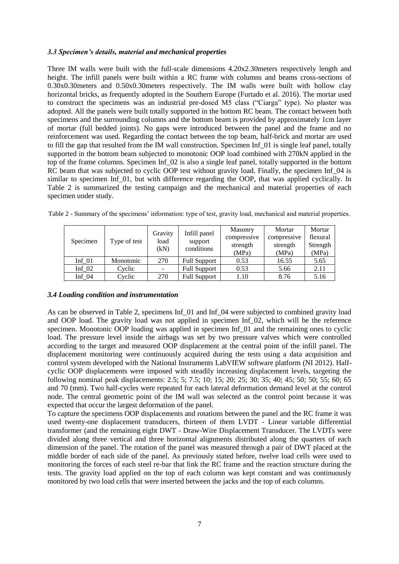## *3.3 Specimen's details, material and mechanical properties*

Three IM walls were built with the full-scale dimensions 4.20x2.30meters respectively length and height. The infill panels were built within a RC frame with columns and beams cross-sections of 0.30x0.30meters and 0.50x0.30meters respectively. The IM walls were built with hollow clay horizontal bricks, as frequently adopted in the Southern Europe (Furtado et al. 2016). The mortar used to construct the specimens was an industrial pre-dosed M5 class ("Ciarga" type). No plaster was adopted. All the panels were built totally supported in the bottom RC beam. The contact between both specimens and the surrounding columns and the bottom beam is provided by approximately 1cm layer of mortar (full bedded joints). No gaps were introduced between the panel and the frame and no reinforcement was used. Regarding the contact between the top beam, half-brick and mortar are used to fill the gap that resulted from the IM wall construction. Specimen Inf\_01 is single leaf panel, totally supported in the bottom beam subjected to monotonic OOP load combined with 270kN applied in the top of the frame columns. Specimen Inf\_02 is also a single leaf panel, totally supported in the bottom RC beam that was subjected to cyclic OOP test without gravity load. Finally, the specimen Inf\_04 is similar to specimen Inf\_01, but with difference regarding the OOP, that was applied cyclically. In Table 2 is summarized the testing campaign and the mechanical and material properties of each specimen under study.

|  |  |  | Table 2 - Summary of the specimens' information: type of test, gravity load, mechanical and material properties. |  |
|--|--|--|------------------------------------------------------------------------------------------------------------------|--|
|  |  |  |                                                                                                                  |  |

|          |              | Gravity<br>load<br>(kN) | Infill panel        | Masonry     | Mortar      | Mortar   |
|----------|--------------|-------------------------|---------------------|-------------|-------------|----------|
| Specimen | Type of test |                         |                     | compressive | compressive | flexural |
|          |              |                         | support             | strength    | strength    | Strength |
|          |              |                         | conditions          | (MPa)       | (MPa)       | (MPa)    |
| Inf $01$ | Monotonic    | 270                     | <b>Full Support</b> | 0.53        | 16.55       | 5.65     |
| Inf $02$ | Cyclic       |                         | <b>Full Support</b> | 0.53        | 5.66        | 2.11     |
| Inf $04$ | Cvelic       | 270                     | <b>Full Support</b> | 1.10        | 8.76        | 5.16     |

## *3.4 Loading condition and instrumentation*

As can be observed in Table 2, specimens Inf 01 and Inf 04 were subjected to combined gravity load and OOP load. The gravity load was not applied in specimen Inf\_02, which will be the reference specimen. Monotonic OOP loading was applied in specimen Inf  $\alpha$ 1 and the remaining ones to cyclic load. The pressure level inside the airbags was set by two pressure valves which were controlled according to the target and measured OOP displacement at the central point of the infill panel. The displacement monitoring were continuously acquired during the tests using a data acquisition and control system developed with the National Instruments LabVIEW software platform (NI 2012). Halfcyclic OOP displacements were imposed with steadily increasing displacement levels, targeting the following nominal peak displacements: 2.5; 5; 7.5; 10; 15; 20; 25; 30; 35; 40; 45; 50; 50; 55; 60; 65 and 70 (mm). Two half-cycles were repeated for each lateral deformation demand level at the control node. The central geometric point of the IM wall was selected as the control point because it was expected that occur the largest deformation of the panel.

To capture the specimens OOP displacements and rotations between the panel and the RC frame it was used twenty-one displacement transducers, thirteen of them LVDT - Linear variable differential transformer (and the remaining eight DWT - Draw-Wire Displacement Transducer. The LVDTs were divided along three vertical and three horizontal alignments distributed along the quarters of each dimension of the panel. The rotation of the panel was measured through a pair of DWT placed at the middle border of each side of the panel. As previously stated before, twelve load cells were used to monitoring the forces of each steel re-bar that link the RC frame and the reaction structure during the tests. The gravity load applied on the top of each column was kept constant and was continuously monitored by two load cells that were inserted between the jacks and the top of each columns.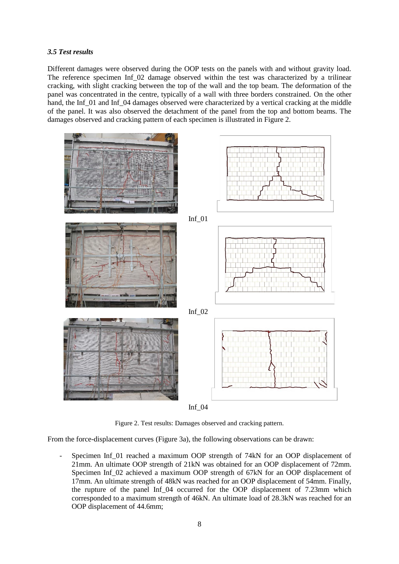#### *3.5 Test results*

Different damages were observed during the OOP tests on the panels with and without gravity load. The reference specimen Inf 02 damage observed within the test was characterized by a trilinear cracking, with slight cracking between the top of the wall and the top beam. The deformation of the panel was concentrated in the centre, typically of a wall with three borders constrained. On the other hand, the Inf  $\overline{01}$  and Inf  $\overline{04}$  damages observed were characterized by a vertical cracking at the middle of the panel. It was also observed the detachment of the panel from the top and bottom beams. The damages observed and cracking pattern of each specimen is illustrated in Figure 2.





Figure 2. Test results: Damages observed and cracking pattern.

From the force-displacement curves (Figure 3a), the following observations can be drawn:

Specimen Inf 01 reached a maximum OOP strength of 74kN for an OOP displacement of 21mm. An ultimate OOP strength of 21kN was obtained for an OOP displacement of 72mm. Specimen Inf 02 achieved a maximum OOP strength of 67kN for an OOP displacement of 17mm. An ultimate strength of 48kN was reached for an OOP displacement of 54mm. Finally, the rupture of the panel Inf\_04 occurred for the OOP displacement of 7.23mm which corresponded to a maximum strength of 46kN. An ultimate load of 28.3kN was reached for an OOP displacement of 44.6mm;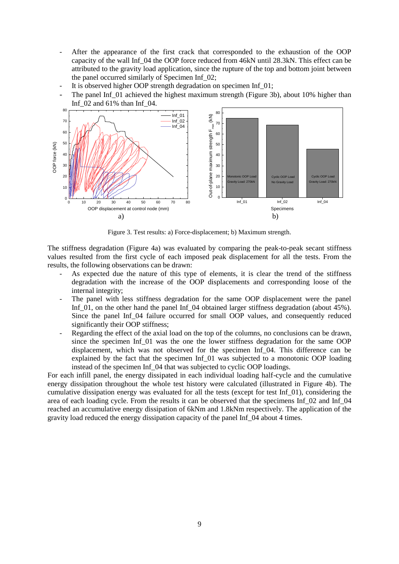- After the appearance of the first crack that corresponded to the exhaustion of the OOP capacity of the wall Inf\_04 the OOP force reduced from 46kN until 28.3kN. This effect can be attributed to the gravity load application, since the rupture of the top and bottom joint between the panel occurred similarly of Specimen Inf\_02;
- It is observed higher OOP strength degradation on specimen Inf  $01$ ;
- The panel Inf 01 achieved the highest maximum strength (Figure 3b), about 10% higher than Inf\_02 and 61% than Inf\_04.



Figure 3. Test results: a) Force-displacement; b) Maximum strength.

The stiffness degradation (Figure 4a) was evaluated by comparing the peak-to-peak secant stiffness values resulted from the first cycle of each imposed peak displacement for all the tests. From the results, the following observations can be drawn:

- As expected due the nature of this type of elements, it is clear the trend of the stiffness degradation with the increase of the OOP displacements and corresponding loose of the internal integrity;
- The panel with less stiffness degradation for the same OOP displacement were the panel Inf  $\overline{01}$ , on the other hand the panel Inf  $\overline{04}$  obtained larger stiffness degradation (about 45%). Since the panel Inf\_04 failure occurred for small OOP values, and consequently reduced significantly their OOP stiffness;
- Regarding the effect of the axial load on the top of the columns, no conclusions can be drawn, since the specimen Inf\_01 was the one the lower stiffness degradation for the same OOP displacement, which was not observed for the specimen Inf\_04. This difference can be explained by the fact that the specimen Inf\_01 was subjected to a monotonic OOP loading instead of the specimen Inf\_04 that was subjected to cyclic OOP loadings.

For each infill panel, the energy dissipated in each individual loading half-cycle and the cumulative energy dissipation throughout the whole test history were calculated (illustrated in Figure 4b). The cumulative dissipation energy was evaluated for all the tests (except for test Inf\_01), considering the area of each loading cycle. From the results it can be observed that the specimens Inf\_02 and Inf\_04 reached an accumulative energy dissipation of 6kNm and 1.8kNm respectively. The application of the gravity load reduced the energy dissipation capacity of the panel Inf\_04 about 4 times.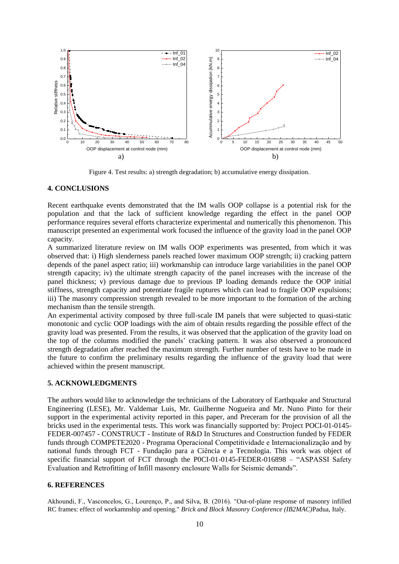

Figure 4. Test results: a) strength degradation; b) accumulative energy dissipation.

## **4. CONCLUSIONS**

Recent earthquake events demonstrated that the IM walls OOP collapse is a potential risk for the population and that the lack of sufficient knowledge regarding the effect in the panel OOP performance requires several efforts characterize experimental and numerically this phenomenon. This manuscript presented an experimental work focused the influence of the gravity load in the panel OOP capacity.

A summarized literature review on IM walls OOP experiments was presented, from which it was observed that: i) High slenderness panels reached lower maximum OOP strength; ii) cracking pattern depends of the panel aspect ratio; iii) workmanship can introduce large variabilities in the panel OOP strength capacity; iv) the ultimate strength capacity of the panel increases with the increase of the panel thickness; v) previous damage due to previous IP loading demands reduce the OOP initial stiffness, strength capacity and potentiate fragile ruptures which can lead to fragile OOP expulsions; iii) The masonry compression strength revealed to be more important to the formation of the arching mechanism than the tensile strength.

An experimental activity composed by three full-scale IM panels that were subjected to quasi-static monotonic and cyclic OOP loadings with the aim of obtain results regarding the possible effect of the gravity load was presented. From the results, it was observed that the application of the gravity load on the top of the columns modified the panels' cracking pattern. It was also observed a pronounced strength degradation after reached the maximum strength. Further number of tests have to be made in the future to confirm the preliminary results regarding the influence of the gravity load that were achieved within the present manuscript.

#### **5. ACKNOWLEDGMENTS**

The authors would like to acknowledge the technicians of the Laboratory of Earthquake and Structural Engineering (LESE), Mr. Valdemar Luis, Mr. Guilherme Nogueira and Mr. Nuno Pinto for their support in the experimental activity reported in this paper, and Preceram for the provision of all the bricks used in the experimental tests. This work was financially supported by: Project POCI-01-0145- FEDER-007457 - CONSTRUCT - Institute of R&D In Structures and Construction funded by FEDER funds through COMPETE2020 - Programa Operacional Competitividade e Internacionalização and by national funds through FCT - Fundação para a Ciência e a Tecnologia. This work was object of specific financial support of FCT through the P0CI-01-0145-FEDER-016898 – "ASPASSI Safety Evaluation and Retrofitting of Infill masonry enclosure Walls for Seismic demands".

#### **6. REFERENCES**

Akhoundi, F., Vasconcelos, G., Lourenço, P., and Silva, B. (2016). "Out-of-plane response of masonry infilled RC frames: effect of workamnship and opening." *Brick and Block Masonry Conference (IB2MAC)*Padua, Italy.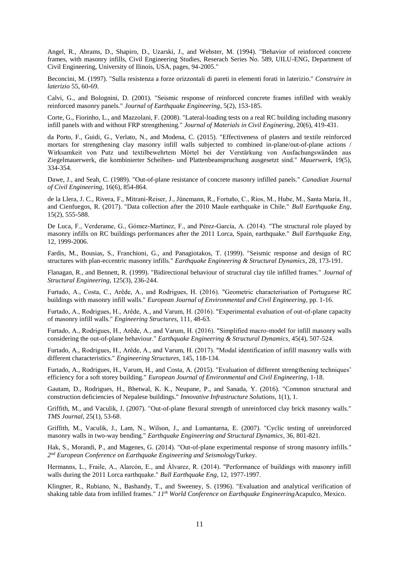Angel, R., Abrams, D., Shapiro, D., Uzarski, J., and Webster, M. (1994). "Behavior of reinforced concrete frames, with masonry infills, Civil Engineering Studies, Reserach Series No. 589, UILU-ENG, Department of Civil Engineering, University of Ilinois, USA, pages, 94-2005."

Beconcini, M. (1997). "Sulla resistenza a forze orizzontali di pareti in elementi forati in laterizio." *Construire in laterizio* 55, 60-69.

Calvi, G., and Bolognini, D. (2001). "Seismic response of reinforced concrete frames infilled with weakly reinforced masonry panels." *Journal of Earthquake Engineering*, 5(2), 153-185.

Corte, G., Fiorinho, L., and Mazzolani, F. (2008). "Lateral-loading tests on a real RC building including masonry infill panels with and without FRP strengthening." *Journal of Materials in Civil Enginering*, 20(6), 419-431.

da Porto, F., Guidi, G., Verlato, N., and Modena, C. (2015). "Effectiveness of plasters and textile reinforced mortars for strengthening clay masonry infill walls subjected to combined in-plane/out-of-plane actions / Wirksamkeit von Putz und textilbewehrtem Mörtel bei der Verstärkung von Ausfachungswänden aus Ziegelmauerwerk, die kombinierter Scheiben- und Plattenbeanspruchung ausgesetzt sind." *Mauerwerk*, 19(5), 334-354.

Dawe, J., and Seah, C. (1989). "Out-of-plane resistance of concrete masonry infilled panels." *Canadian Journal of Civil Engineering*, 16(6), 854-864.

de la Llera, J. C., Rivera, F., Mitrani-Reiser, J., Jünemann, R., Fortuño, C., Ríos, M., Hube, M., Santa María, H., and Cienfuegos, R. (2017). "Data collection after the 2010 Maule earthquake in Chile." *Bull Earthquake Eng*, 15(2), 555-588.

De Luca, F., Verderame, G., Gómez-Martinez, F., and Pérez-García, A. (2014). "The structural role played by masonry infills on RC buildings performances after the 2011 Lorca, Spain, earthquake." *Bull Earthquake Eng*, 12, 1999-2006.

Fardis, M., Bousias, S., Franchioni, G., and Panagiotakos, T. (1999). "Seismic response and design of RC structures with plan-eccentric masonry infills." *Earthquake Engineering & Structural Dynamics*, 28, 173-191.

Flanagan, R., and Bennett, R. (1999). "Bidirectional behaviour of structural clay tile infilled frames." *Journal of Structural Engineering*, 125(3), 236-244.

Furtado, A., Costa, C., Arêde, A., and Rodrigues, H. (2016). "Geometric characterisation of Portuguese RC buildings with masonry infill walls." *European Journal of Environmental and Civil Engineering*, pp. 1-16.

Furtado, A., Rodrigues, H., Arêde, A., and Varum, H. (2016). "Experimental evaluation of out-of-plane capacity of masonry infill walls." *Engineering Structures*, 111, 48-63.

Furtado, A., Rodrigues, H., Arêde, A., and Varum, H. (2016). "Simplified macro-model for infill masonry walls considering the out-of-plane behaviour." *Earthquake Engineering & Structural Dynamics*, 45(4), 507-524.

Furtado, A., Rodrigues, H., Arêde, A., and Varum, H. (2017). "Modal identification of infill masonry walls with different characteristics." *Engineering Structures*, 145, 118-134.

Furtado, A., Rodrigues, H., Varum, H., and Costa, A. (2015). "Evaluation of different strengthening techniques' efficiency for a soft storey building." *European Journal of Environmental and Civil Engineering*, 1-18.

Gautam, D., Rodrigues, H., Bhetwal, K. K., Neupane, P., and Sanada, Y. (2016). "Common structural and construction deficiencies of Nepalese buildings." *Innovative Infrastructure Solutions*, 1(1), 1.

Griffith, M., and Vaculik, J. (2007). "Out-of-plane flexural strength of unreinforced clay brick masonry walls." *TMS Journal*, 25(1), 53-68.

Griffith, M., Vaculik, J., Lam, N., Wilson, J., and Lumantarna, E. (2007). "Cyclic testing of unreinforced masonry walls in two-way bending." *Earthquake Engineering and Structural Dynamics*, 36, 801-821.

Hak, S., Morandi, P., and Magenes, G. (2014). "Out-of-plane experimental response of strong masonry infills." *2 nd European Conference on Earthquake Engineering and Seismology*Turkey.

Hermanns, L., Fraile, A., Alarcón, E., and Álvarez, R. (2014). "Performance of buildings with masonry infill walls during the 2011 Lorca earthquake." *Bull Earthquake Eng*, 12, 1977-1997.

Klingner, R., Rubiano, N., Bashandy, T., and Sweeney, S. (1996). "Evaluation and analytical verification of shaking table data from infilled frames." *11th World Conference on Earthquake Engineering*Acapulco, Mexico.